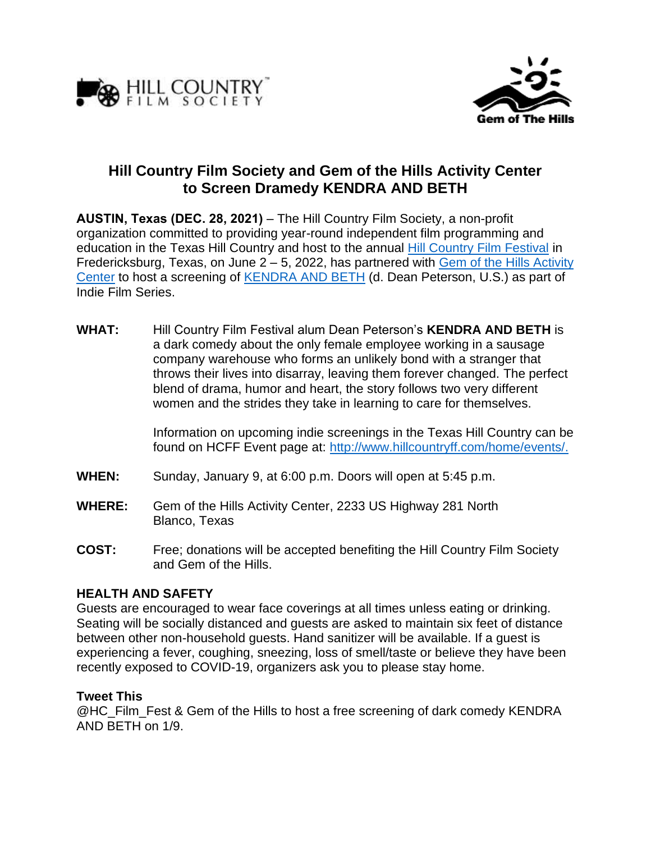



# **Hill Country Film Society and Gem of the Hills Activity Center to Screen Dramedy KENDRA AND BETH**

**AUSTIN, Texas (DEC. 28, 2021)** – The Hill Country Film Society, a non-profit organization committed to providing year-round independent film programming and education in the Texas Hill Country and host to the annual [Hill Country Film Festival](http://www.hillcountryff.com/) in Fredericksburg, Texas, on June 2 – 5, 2022, has partnered with Gem of the Hills Activity [Center](https://gemofthehills.org/) to host a screening of [KENDRA AND BETH](https://www.imdb.com/title/tt13198192/) (d. Dean Peterson, U.S.) as part of Indie Film Series.

**WHAT:** Hill Country Film Festival alum Dean Peterson's **KENDRA AND BETH** is a dark comedy about the only female employee working in a sausage company warehouse who forms an unlikely bond with a stranger that throws their lives into disarray, leaving them forever changed. The perfect blend of drama, humor and heart, the story follows two very different women and the strides they take in learning to care for themselves.

> Information on upcoming indie screenings in the Texas Hill Country can be found on HCFF Event page at: [http://www.hillcountryff.com/home/events/.](http://www.hillcountryff.com/home/events/)

- **WHEN:** Sunday, January 9, at 6:00 p.m. Doors will open at 5:45 p.m.
- **WHERE:** Gem of the Hills Activity Center, 2233 US Highway 281 North Blanco, Texas
- **COST:** Free; donations will be accepted benefiting the Hill Country Film Society and Gem of the Hills.

# **HEALTH AND SAFETY**

Guests are encouraged to wear face coverings at all times unless eating or drinking. Seating will be socially distanced and guests are asked to maintain six feet of distance between other non-household guests. Hand sanitizer will be available. If a guest is experiencing a fever, coughing, sneezing, loss of smell/taste or believe they have been recently exposed to COVID-19, organizers ask you to please stay home.

## **Tweet This**

@HC\_Film\_Fest & Gem of the Hills to host a free screening of dark comedy KENDRA AND BETH on 1/9.